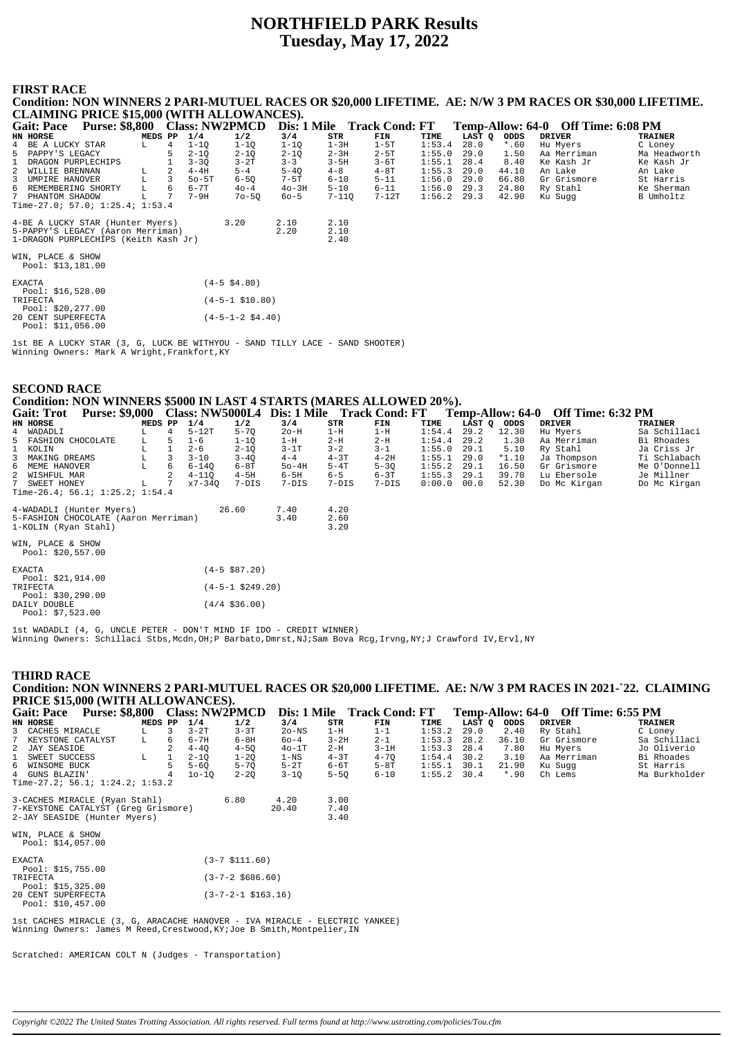# **NORTHFIELD PARK Results Tuesday, May 17, 2022**

### **FIRST RACE**

**Condition: NON WINNERS 2 PARI-MUTUEL RACES OR \$20,000 LIFETIME. AE: N/W 3 PM RACES OR \$30,000 LIFETIME. CLAIMING PRICE \$15,000 (WITH ALLOWANCES). Gait: Pace Purse: \$8,800 Class: NW2PMCD Dis: 1 Mile Track Cond: FT Temp-Allow: 64-0 Off Time: 6:08 PM**<br> **EXELUCKY STAR**<br> **EXELUCKY STAR**<br> **EXELUCKY STAR**<br> **EXELUCKY STAR**<br> **EXELUCKY STAR**<br> **EXELUCKY** STAR<br> **EXELUCKY** STA **HEDS PP 1/4 1/2 3/4 STR FIN TIME LAST Q ODDS DRIVER TRAINER**<br>
L 4 1-1Q 1-1Q 1-1Q 1-3H 1-5T 1:53.4 28.0 \*.60 Hu Myers C Loney 4 BE A LUCKY STAR L 4 1-1Q 1-1Q 1-1Q 1-3H 1-5T 1:53.4 28.0 \*.60 Hu Myers C Loney 5 PAPPY'S LEGACY 5 2-1Q 2-1Q 2-1Q 2-3H 2-5T 1:55.0 29.0 1.50 Aa Merriman Ma Headworth 1 DRAGON PURPLECHIPS 1 3-3Q 3-2T 3-3 3-5H 3-6T 1:55.1 28.4 8.40 Ke Kash Jr Ke Kash Jr 2 WILLIE BRENNAN L 2 4-4H 5-4 5-4Q 4-8 4-8T 1:55.3 29.0 44.10 An Lake An Lake 3 UMPIRE HANOVER L 3 5o-5T 6-5Q 7-5T 6-10 5-11 1:56.0 29.0 66.80 Gr Grismore St Harris 6 REMEMBERING SHORTY L 6 6-7T 4o-4 4o-3H 5-10 6-11 1:56.0 29.3 24.80 Ry Stahl Ke Sherman<br>7 PHANTOM SHADOW L 7 7-9H 7o-5Q 6o-5 7-11Q 7-12T 1:56.2 2 4-BE A LUCKY STAR (Hunter Myers) 3.20 2.10 2.10<br>
5-PAPPY'S LEGACY (Aaron Merriman) 2.20 2.10<br>
1-DRAGON PURPLECHIPS (Keith Kash Jr) 2.40 5-PAPPY'S LEGACY (Aaron Merriman) 1-DRAGON PURPLECHIPS (Keith Kash Jr) 2.40 WIN, PLACE & SHOW Pool: \$13,181.00 EXACTA (4-5 \$4.80) Pool: \$16,528.00 TRIFECTA (4-5-1 \$10.80) Pool: \$20,277.00 20 CENT SUPERFECTA (4-5-1-2 \$4.40) Pool: \$11,056.00

1st BE A LUCKY STAR (3, G, LUCK BE WITHYOU - SAND TILLY LACE - SAND SHOOTER) Winning Owners: Mark A Wright, Frankfort, KY

| <b>SECOND RACE</b> |                                                                     |  |                                                                                                  |  |
|--------------------|---------------------------------------------------------------------|--|--------------------------------------------------------------------------------------------------|--|
|                    | Condition: NON WINNERS \$5000 IN LAST 4 STARTS (MARES ALLOWED 20%). |  |                                                                                                  |  |
| Gait: Trot         |                                                                     |  | t  Purse: \$9,000 Class: NW5000L4 Dis: 1 Mile Track Cond: FT  Temp-Allow: 64-0 Off Time: 6:32 PM |  |

|                | Gail. 1100                             | Turse, p2,000 Class, IVIV3000L+ Dis, Tivine Track Cond, FT |         |   |           |                    |         |          |          |        |             |         | $I$ complex now, $0 + 0$ . On Thine, $0.32 \pm 0.01$ |              |
|----------------|----------------------------------------|------------------------------------------------------------|---------|---|-----------|--------------------|---------|----------|----------|--------|-------------|---------|------------------------------------------------------|--------------|
|                | HN HORSE                               |                                                            | MEDS PP |   | 1/4       | 1/2                | 3/4     | STR      | FIN      | TIME   | LAST Q ODDS |         | DRIVER                                               | TRAINER      |
|                | 4 WADADLI                              |                                                            | L       | 4 | $5-12T$   | $5 - 70$           | $2o-H$  | $1-H$    | $1-H$    | 1:54.4 | 29.2        | 12.30   | Hu Myers                                             | Sa Schillaci |
|                | 5 FASHION CHOCOLATE                    |                                                            | L       | 5 | $1 - 6$   | $1 - 1Q$           | 1-H     | $2-H$    | $2-H$    | 1:54.4 | 29.2        | 1.30    | Aa Merriman                                          | Bi Rhoades   |
|                | 1 KOLIN                                |                                                            | г       |   | $2 - 6$   | $2 - 1Q$           | $3-1T$  | $3 - 2$  | $3 - 1$  | 1:55.0 | 29.1        | 5.10    | Ry Stahl                                             | Ja Criss Jr  |
| $\overline{3}$ | MAKING DREAMS                          |                                                            | L       |   | $3 - 10$  | $3 - 40$           | $4 - 4$ | $4 - 3T$ | $4-2H$   | 1:55.1 | 29.0        | $*1.10$ | Ja Thompson                                          | Ti Schlabach |
|                | 6 MEME HANOVER                         |                                                            | L       | 6 | $6 - 140$ | $6-8T$             | $50-4H$ | $5-4T$   | $5 - 3Q$ | 1:55.2 | 29.1        | 16.50   | Gr Grismore                                          | Me O'Donnell |
|                | 2 WISHFUL MAR                          |                                                            |         |   | 4-110     | $4-5H$             | $6-5H$  | $6 - 5$  | $6 - 3T$ | 1:55.3 | 29.1        | 39.70   | Lu Ebersole                                          | Je Millner   |
|                | 7 SWEET HONEY                          |                                                            | L.      |   | x7-340    | $7-DIS$            | $7-DIS$ | $7-DIS$  | $7-DIS$  | 0:00.0 | 00.0        | 52.30   | Do Mc Kirgan                                         | Do Mc Kirgan |
|                |                                        | Time-26.4; 56.1; $1:25.2; 1:54.4$                          |         |   |           |                    |         |          |          |        |             |         |                                                      |              |
|                |                                        | 4-WADADLI (Hunter Myers)                                   |         |   |           | 26.60              | 7.40    | 4.20     |          |        |             |         |                                                      |              |
|                |                                        | 5-FASHION CHOCOLATE (Aaron Merriman)                       |         |   |           |                    | 3.40    | 2.60     |          |        |             |         |                                                      |              |
|                | 1-KOLIN (Ryan Stahl)                   |                                                            |         |   |           |                    |         | 3.20     |          |        |             |         |                                                      |              |
|                | WIN, PLACE & SHOW<br>Pool: \$20,557.00 |                                                            |         |   |           |                    |         |          |          |        |             |         |                                                      |              |
|                |                                        |                                                            |         |   |           |                    |         |          |          |        |             |         |                                                      |              |
|                | EXACTA<br>Pool: \$21,914.00            |                                                            |         |   |           | $(4-5 \ $87.20)$   |         |          |          |        |             |         |                                                      |              |
|                | TRIFECTA<br>Pool: \$30,290.00          |                                                            |         |   |           | $(4-5-1$ \$249.20) |         |          |          |        |             |         |                                                      |              |
|                | DAILY DOUBLE<br>Pool: $$7,523.00$      |                                                            |         |   |           | $(4/4 \; $36.00)$  |         |          |          |        |             |         |                                                      |              |

1st WADADLI (4, G, UNCLE PETER - DON'T MIND IF IDO - CREDIT WINNER) Winning Owners: Schillaci Stbs,Mcdn,OH;P Barbato,Dmrst,NJ;Sam Bova Rcg,Irvng,NY;J Crawford IV,Ervl,NY

### **THIRD RACE**

**Condition: NON WINNERS 2 PARI-MUTUEL RACES OR \$20,000 LIFETIME. AE: N/W 3 PM RACES IN 2021-`22. CLAIMING PRICE \$15,000 (WITH ALLOWANCES). Gait: Pace Purse: \$8,800 Class: NW2PMCD Dis: 1 Mile Track Cond: FT Temp-Allow: 64-0 Off Time: 6:55 PM**

| HN HORSE                                                                                                                                                | MEDS PP     |   | 1/4      | 1/2                       | 3/4               | STR      | FIN      | TIME   | LAST Q | ODDS    | <b>DRIVER</b> | TRAINER       |
|---------------------------------------------------------------------------------------------------------------------------------------------------------|-------------|---|----------|---------------------------|-------------------|----------|----------|--------|--------|---------|---------------|---------------|
| 3 CACHES MIRACLE                                                                                                                                        | T.          |   | $3-2T$   | $3 - 3T$                  | $2o$ -NS          | $1-H$    | $1 - 1$  | 1:53.2 | 29.0   | 2.40    | Ry Stahl      | C Loney       |
| KEYSTONE CATALYST                                                                                                                                       | $T_{\rm H}$ | 6 | $6 - 7H$ | $6-8H$                    | $60 - 4$          | $3 - 2H$ | $2 - 1$  | 1:53.3 | 28.2   | 36.10   | Gr Grismore   | Sa Schillaci  |
| 2 JAY SEASIDE                                                                                                                                           |             |   | $4 - 40$ | $4 - 50$                  | $40-1T$           | $2-H$    | $3-1H$   | 1:53.3 | 28.4   | 7.80    | Hu Myers      | Jo Oliverio   |
| SWEET SUCCESS                                                                                                                                           | L           |   | $2 - 10$ | $1 - 20$                  | $1 - \mathrm{NS}$ | $4 - 3T$ | $4 - 70$ | 1:54.4 | 30.2   | 3.10    | Aa Merriman   | Bi Rhoades    |
| 6 WINSOME BUCK                                                                                                                                          |             |   | $5 - 60$ | $5 - 70$                  | $5-2T$            | $6-6T$   | $5-8T$   | 1:55.1 | 30.1   | 21.90   | Ku Sugg       | St Harris     |
| 4 GUNS BLAZIN'                                                                                                                                          |             |   | $10-10$  | $2 - 20$                  | $3 - 1Q$          | $5-5Q$   | $6 - 10$ | 1:55.2 | 30.4   | $*$ .90 | Ch Lems       | Ma Burkholder |
| Time-27.2; $56.1; 1:24.2; 1:53.2$                                                                                                                       |             |   |          |                           |                   |          |          |        |        |         |               |               |
|                                                                                                                                                         |             |   |          |                           |                   |          |          |        |        |         |               |               |
| 3-CACHES MIRACLE (Ryan Stahl)                                                                                                                           |             |   |          | 6.80                      | 4.20              | 3.00     |          |        |        |         |               |               |
| 7-KEYSTONE CATALYST (Greq Grismore)                                                                                                                     |             |   |          |                           | 20.40             | 7.40     |          |        |        |         |               |               |
| 2-JAY SEASIDE (Hunter Myers)                                                                                                                            |             |   |          |                           |                   | 3.40     |          |        |        |         |               |               |
| WIN, PLACE & SHOW<br>Pool: $$14,057.00$                                                                                                                 |             |   |          |                           |                   |          |          |        |        |         |               |               |
| EXACTA                                                                                                                                                  |             |   |          | $(3-7 \; \text{S111.60})$ |                   |          |          |        |        |         |               |               |
| Pool: \$15,755.00                                                                                                                                       |             |   |          |                           |                   |          |          |        |        |         |               |               |
| TRIFECTA                                                                                                                                                |             |   |          | $(3 - 7 - 2 \ $686.60)$   |                   |          |          |        |        |         |               |               |
| Pool: \$15,325.00                                                                                                                                       |             |   |          |                           |                   |          |          |        |        |         |               |               |
| 20 CENT SUPERFECTA                                                                                                                                      |             |   |          | $(3-7-2-1$ \$163.16)      |                   |          |          |        |        |         |               |               |
| Pool: $$10,457.00$                                                                                                                                      |             |   |          |                           |                   |          |          |        |        |         |               |               |
| 1st CACHES MIRACLE (3, G, ARACACHE HANOVER - IVA MIRACLE - ELECTRIC YANKEE)<br>Winning Owners: James M Reed, Crestwood, KY; Joe B Smith, Montpelier, IN |             |   |          |                           |                   |          |          |        |        |         |               |               |

Scratched: AMERICAN COLT N (Judges - Transportation)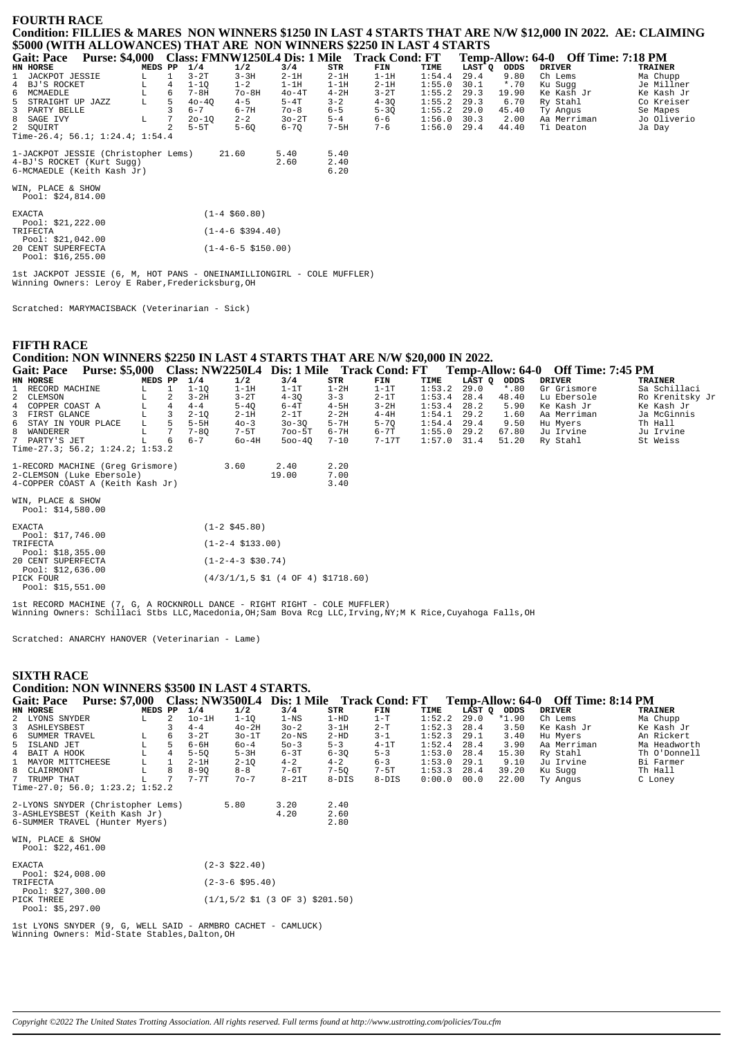### **FOURTH RACE Condition: FILLIES & MARES NON WINNERS \$1250 IN LAST 4 STARTS THAT ARE N/W \$12,000 IN 2022. AE: CLAIMING \$5000 (WITH ALLOWANCES) THAT ARE NON WINNERS \$2250 IN LAST 4 STARTS**

|                                                                       |                                                                          |                                                                                  | 1/4                                        | 1/2                                 | 3/4          | STR                  | FIN                                  | TIME   |                       | ODDS    | DRIVER      | TRAINER                                      |
|-----------------------------------------------------------------------|--------------------------------------------------------------------------|----------------------------------------------------------------------------------|--------------------------------------------|-------------------------------------|--------------|----------------------|--------------------------------------|--------|-----------------------|---------|-------------|----------------------------------------------|
|                                                                       |                                                                          |                                                                                  | $3-2T$                                     | $3 - 3H$                            | $2-1H$       | $2 - 1H$             | $1-1H$                               | 1:54.4 | 29.4                  | 9.80    | Ch Lems     | Ma Chupp                                     |
|                                                                       |                                                                          | 4                                                                                | $1 - 10$                                   | $1 - 2$                             | $1-1H$       | $1-1H$               | $2-1H$                               | 1:55.0 | 30.1                  | $*$ .70 | Ku Suaa     | Je Millner                                   |
|                                                                       |                                                                          | 6.                                                                               | $7 - 8H$                                   | $70-8H$                             | $40-4T$      | $4 - 2H$             | $3-2T$                               | 1:55.2 | 29.3                  | 19.90   | Ke Kash Jr  | Ke Kash Jr                                   |
|                                                                       | L.                                                                       | 5.                                                                               | $40 - 40$                                  | $4 - 5$                             | $5 - 4T$     | $3 - 2$              | $4 - 30$                             | 1:55.2 | 29.3                  | 6.70    | Ry Stahl    | Co Kreiser                                   |
|                                                                       |                                                                          |                                                                                  | $6 - 7$                                    | $6 - 7H$                            | $70 - 8$     | $6 - 5$              | $5 - 30$                             | 1:55.2 | 29.0                  | 45.40   | Ty Angus    | Se Mapes                                     |
|                                                                       | L                                                                        |                                                                                  | $20 - 10$                                  | $2 - 2$                             | $30-2T$      | $5 - 4$              | 6-6                                  | 1:56.0 | 30.3                  | 2.00    | Aa Merriman | Jo Oliverio                                  |
|                                                                       |                                                                          |                                                                                  | $5-5T$                                     | $5 - 60$                            | 6-70         | $7-5H$               | $7 - 6$                              | 1:56.0 | 29.4                  | 44.40   | Ti Deaton   | Ja Day                                       |
|                                                                       |                                                                          |                                                                                  |                                            |                                     |              |                      |                                      |        |                       |         |             |                                              |
|                                                                       |                                                                          |                                                                                  |                                            |                                     | 5.40<br>2.60 | 5.40<br>2.40<br>6.20 |                                      |        |                       |         |             |                                              |
| <b>Gait: Pace</b><br>HN HORSE<br>6 MCMAEDLE<br>8 SAGE IVY<br>2 SOUIRT | 1 JACKPOT JESSIE<br>4 BJ'S ROCKET<br>5 STRAIGHT UP JAZZ<br>3 PARTY BELLE | <b>Purse: \$4,000</b><br>4-BJ'S ROCKET (Kurt Sugg)<br>6-MCMAEDLE (Keith Kash Jr) | MEDS PP<br>Time-26.4; 56.1; 1:24.4; 1:54.4 | 1-JACKPOT JESSIE (Christopher Lems) | 21.60        |                      | <b>Class: FMNW1250L4 Dis: 1 Mile</b> |        | <b>Track Cond: FT</b> |         | LAST O      | <b>Off Time: 7:18 PM</b><br>Temp-Allow: 64-0 |

WIN, PLACE & SHOW Pool: \$24,814.00

| <b>EXACTA</b> |                     | $(1-4 \t$60.80)$             |
|---------------|---------------------|------------------------------|
|               | Pool: $$21, 222.00$ |                              |
| TRIFECTA      |                     | $(1-4-6 \text{ } $394.40)$   |
|               | Pool: \$21,042.00   |                              |
|               | 20 CENT SUPERFECTA  | $(1-4-6-5 \text{ } $150.00)$ |
|               | Pool: $$16, 255.00$ |                              |

1st JACKPOT JESSIE (6, M, HOT PANS - ONEINAMILLIONGIRL - COLE MUFFLER) Winning Owners: Leroy E Raber,Fredericksburg,OH

Scratched: MARYMACISBACK (Veterinarian - Sick)

## **FIFTH RACE Condition: NON WINNERS \$2250 IN LAST 4 STARTS THAT ARE N/W \$20,000 IN 2022.**

| <b>Gait: Pace</b>    | <b>Purse: \$5,000</b>             |         |    |          |          | Class: NW2250L4 Dis: 1 Mile Track Cond: FT |          |          |               |             |         | Temp-Allow: 64-0 Off Time: 7:45 PM |                 |
|----------------------|-----------------------------------|---------|----|----------|----------|--------------------------------------------|----------|----------|---------------|-------------|---------|------------------------------------|-----------------|
| HN HORSE             |                                   | MEDS PP |    | 1/4      | 1/2      | 3/4                                        | STR      | FIN      | TIME          | LAST O ODDS |         | DRIVER                             | TRAINER         |
| 1 RECORD MACHINE     |                                   | L       |    | $1 - 10$ | 1-1H     | $1-1T$                                     | $1-2H$   | $1-1T$   | 1:53.2        | 29.0        | $*$ .80 | Gr Grismore                        | Sa Schillaci    |
| 2 CLEMSON            |                                   |         | 2  | $3 - 2H$ | $3-2T$   | $4 - 30$                                   | $3 - 3$  | $2-1T$   | 1:53.4        | 28.4        | 48.40   | Lu Ebersole                        | Ro Krenitsky Jr |
| 4 COPPER COAST A     |                                   |         | 4  | $4 - 4$  | $5 - 40$ | $6-4T$                                     | $4-5H$   | $3 - 2H$ | 1:53.4        | 28.2        | 5.90    | Ke Kash Jr                         | Ke Kash Jr      |
| 3 FIRST GLANCE       |                                   |         |    | $2 - 10$ | $2-1H$   | $2-1T$                                     | $2 - 2H$ | $4-4H$   | 1:54.1        | 29.2        | 1.60    | Aa Merriman                        | Ja McGinnis     |
| 6 STAY IN YOUR PLACE |                                   | L       |    | $5-5H$   | $40 - 3$ | $30 - 30$                                  | $5 - 7H$ | $5 - 70$ | 1:54.4        | 29.4        | 9.50    | Hu Mvers                           | Th Hall         |
| 8 WANDERER           |                                   |         |    | $7 - 80$ | 7-5T     | $700 - 5T$                                 | 6-7H     | $6 - 7T$ | $1:55.0$ 29.2 |             | 67.80   | Ju Irvine                          | Ju Irvine       |
| 7 PARTY'S JET        |                                   |         | 6. | $6 - 7$  | $60-4H$  | $500 - 40$                                 | $7 - 10$ | 7-17T    | $1:57.0$ 31.4 |             | 51.20   | Ry Stahl                           | St Weiss        |
|                      | Time-27.3; 56.2; $1:24.2; 1:53.2$ |         |    |          |          |                                            |          |          |               |             |         |                                    |                 |
|                      | 1-RECORD MACHINE (Greq Grismore)  |         |    |          | 3.60     | 2.40                                       | 2.20     |          |               |             |         |                                    |                 |
|                      | 2-CLEMSON (Luke Ebersole)         |         |    |          |          | 19.00                                      | 7.00     |          |               |             |         |                                    |                 |
|                      | 4-COPPER COAST A (Keith Kash Jr)  |         |    |          |          |                                            | 3.40     |          |               |             |         |                                    |                 |
| WIN, PLACE & SHOW    |                                   |         |    |          |          |                                            |          |          |               |             |         |                                    |                 |
| Pool: $$14,580.00$   |                                   |         |    |          |          |                                            |          |          |               |             |         |                                    |                 |

| <b>EXACTA</b>      | $(1 - 2 \cdot $45.80)$                                                           |
|--------------------|----------------------------------------------------------------------------------|
| Pool: \$17,746.00  |                                                                                  |
| TRIFECTA           | $(1-2-4 \; \text{S}133.00)$                                                      |
| Pool: $$18,355.00$ |                                                                                  |
| 20 CENT SUPERFECTA | $(1-2-4-3 \text{ } $30.74)$                                                      |
| Pool: $$12,636.00$ |                                                                                  |
| PICK FOUR          | $(4/3/1/1, 5 \text{ } 51 \text{ } (4 \text{ } 0F \text{ } 4) \text{ } $1718.60)$ |
| Pool: \$15,551.00  |                                                                                  |

1st RECORD MACHINE (7, G, A ROCKNROLL DANCE - RIGHT RIGHT - COLE MUFFLER) Winning Owners: Schillaci Stbs LLC,Macedonia,OH;Sam Bova Rcg LLC,Irving,NY;M K Rice,Cuyahoga Falls,OH

Scratched: ANARCHY HANOVER (Veterinarian - Lame)

### **SIXTH RACE**

## **Condition: NON WINNERS \$3500 IN LAST 4 STARTS.**

| <b>Purse: \$7,000</b><br><b>Gait: Pace</b> |         |   | <b>Class: NW3500L4</b> |          | Dis: 1 Mile |           | <b>Track Cond: FT</b> |        | Temp-Allow: 64-0 |         | Off Time: 8:14 PM |                |
|--------------------------------------------|---------|---|------------------------|----------|-------------|-----------|-----------------------|--------|------------------|---------|-------------------|----------------|
| HN HORSE                                   | MEDS PP |   | 1/4                    | 1/2      | 3/4         | STR       | FIN                   | TIME   | LAST Q           | ODDS    | <b>DRIVER</b>     | <b>TRAINER</b> |
| 2 LYONS SNYDER                             | L.      |   | $1o-1H$                | $1-10$   | 1-NS        | 1-HD      | 1-T                   | 1:52.2 | 29.0             | $*1.90$ | Ch Lems           | Ma Chupp       |
| 3 ASHLEYSBEST                              |         |   | $4 - 4$                | $40-2H$  | $30 - 2$    | $3-1H$    | $2-T$                 | 1:52.3 | 28.4             | 3.50    | Ke Kash Jr        | Ke Kash Jr     |
| 6 SUMMER TRAVEL                            | L.      | 6 | $3-2T$                 | $30-1T$  | $2o$ -NS    | $2 - HD$  | $3 - 1$               | 1:52.3 | 29.1             | 3.40    | Hu Myers          | An Rickert     |
| 5 ISLAND JET                               | Lυ.     |   | $6 - 6H$               | $60 - 4$ | $50 - 3$    | $5 - 3$   | $4-1T$                | 1:52.4 | 28.4             | 3.90    | Aa Merriman       | Ma Headworth   |
| 4 BAIT A HOOK                              | L.      | 4 | $5 - 50$               | $5-3H$   | $6 - 3T$    | $6 - 30$  | $5 - 3$               | 1:53.0 | 28.4             | 15.30   | Ry Stahl          | Th O'Donnell   |
| 1 MAYOR MITTCHEESE                         | L.      |   | $2-1H$                 | $2 - 10$ | $4 - 2$     | $4 - 2$   | $6 - 3$               | 1:53.0 | 29.1             | 9.10    | Ju Irvine         | Bi Farmer      |
| 8 CLAIRMONT                                |         | 8 | $8 - 90$               | $8 - 8$  | $7-6T$      | $7 - 50$  | $7-5T$                | 1:53.3 | 28.4             | 39.20   | Ku Sugg           | Th Hall        |
| 7 TRUMP THAT                               |         |   | $7 - 7$ T              | $70 - 7$ | $8 - 21T$   | $8 - DIS$ | $8 - DIS$             | 0:00.0 | 00.0             | 22.00   | Ty Angus          | C Loney        |
| Time-27.0; 56.0; 1:23.2; 1:52.2            |         |   |                        |          |             |           |                       |        |                  |         |                   |                |

| 2-LYONS SNYDER (Christopher Lems)<br>3-ASHLEYSBEST (Keith Kash Jr)<br>6-SUMMER TRAVEL (Hunter Myers) | 5.80                                                                          | 3.20<br>4.20 | 2.40<br>2.60<br>2.80 |
|------------------------------------------------------------------------------------------------------|-------------------------------------------------------------------------------|--------------|----------------------|
| WIN, PLACE & SHOW<br>Pool: $$22,461.00$                                                              |                                                                               |              |                      |
| <b>EXACTA</b>                                                                                        | $(2 - 3 \text{ } $22.40)$                                                     |              |                      |
| Pool: $$24,008.00$<br>TRIFECTA                                                                       | $(2 - 3 - 6 \text{ } 595.40)$                                                 |              |                      |
| Pool: $$27,300.00$<br>PICK THREE<br>Pool: $$5,297.00$                                                | $(1/1, 5/2 \text{ } 51 \text{ } (3 \text{ } 0F \text{ } 3) \text{ } $201.50)$ |              |                      |

1st LYONS SNYDER (9, G, WELL SAID - ARMBRO CACHET - CAMLUCK) Winning Owners: Mid-State Stables,Dalton,OH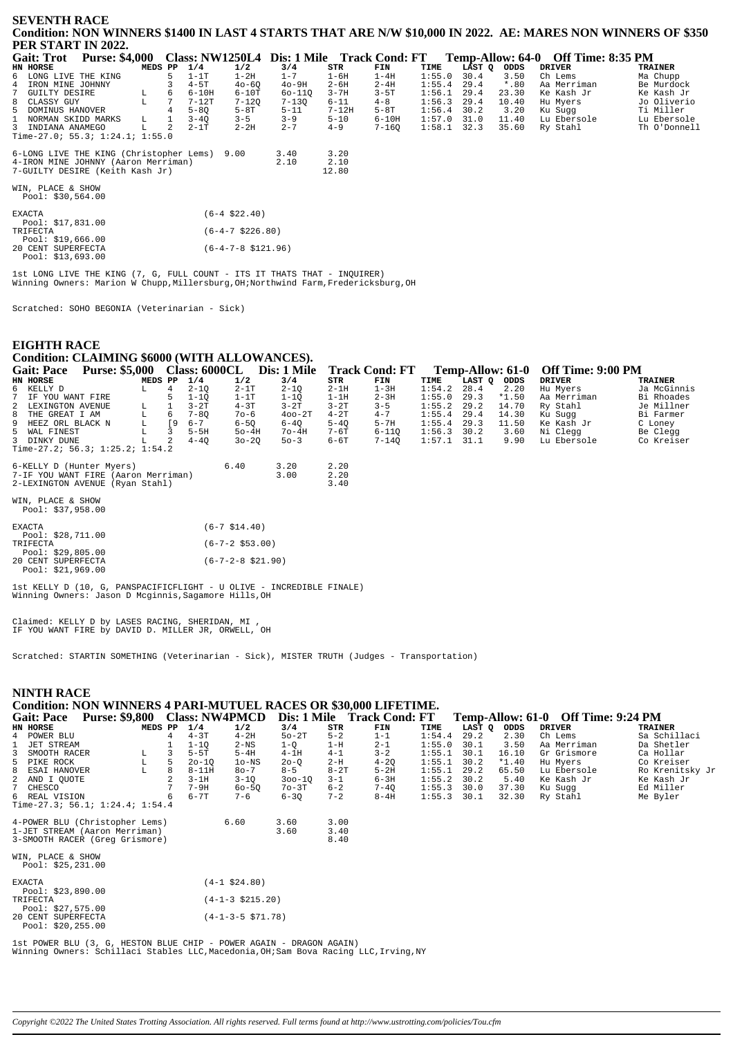### **SEVENTH RACE** Condition: NON WINNERS \$1400 IN LAST 4 STARTS THAT ARE N/W \$10,000 IN 2022. AE: MARES NON WINNERS OF \$350 PER START IN 2022.

| Gait: Trot                                   | <b>Purse: \$4,000</b> |         |                 |           |           |           |          | Class: NW1250L4 Dis: 1 Mile Track Cond: FT |      |               |         | Temp-Allow: 64-0 Off Time: 8:35 PM |                |
|----------------------------------------------|-----------------------|---------|-----------------|-----------|-----------|-----------|----------|--------------------------------------------|------|---------------|---------|------------------------------------|----------------|
| HN HORSE                                     |                       | MEDS PP |                 | 1/4       | 1/2       | 3/4       | STR      | FIN                                        | TIME | LAST O        | ODDS    | DRIVER                             | <b>TRAINER</b> |
| 6 LONG LIVE THE KING                         |                       |         | 5.              | $1-1T$    | $1-2H$    | $1 - 7$   | $1-6H$   | $1-4H$                                     |      | $1:55.0$ 30.4 | 3.50    | Ch Lems                            | Ma Chupp       |
| 4 IRON MINE JOHNNY                           |                       |         |                 | $4-5T$    | $40 - 60$ | $40-9H$   | 2-6H     | $2 - 4H$                                   |      | $1:55.4$ 29.4 | $*$ .80 | Aa Merriman                        | Be Murdock     |
| 7 GUILTY DESIRE                              |                       | L       | 6               | $6-10H$   | $6-10T$   | 60-110    | 3-7H     | 3-5T                                       |      | $1:56.1$ 29.4 | 23.30   | Ke Kash Jr                         | Ke Kash Jr     |
| 8 CLASSY GUY                                 |                       | L       |                 | 7-12T     | $7 - 120$ | $7 - 130$ | 6-11     | $4 - 8$                                    |      | $1:56.3$ 29.4 | 10.40   | Hu Mvers                           | Jo Oliverio    |
| 5 DOMINUS HANOVER                            |                       |         | $4\overline{ }$ | $5 - 80$  | $5-8T$    | $5 - 11$  | 7-12H    | 5-8T                                       |      | $1:56.4$ 30.2 | 3.20    | Ku Suqq                            | Ti Miller      |
| 1 NORMAN SKIDD MARKS                         |                       | L.      |                 | $3 - 40$  | $3 - 5$   | $3 - 9$   | $5 - 10$ | 6-10H                                      |      | $1:57.0$ 31.0 | 11.40   | Lu Ebersole                        | Lu Ebersole    |
| 3 INDIANA ANAMEGO                            |                       |         |                 | $2 - 1$ T | $2 - 2H$  | $2 - 7$   | $4 - 9$  | 7-160                                      |      | $1:58.1$ 32.3 | 35.60   | Ry Stahl                           | Th O'Donnell   |
| Time-27.0; 55.3; 1:24.1; 1:55.0              |                       |         |                 |           |           |           |          |                                            |      |               |         |                                    |                |
|                                              |                       |         |                 |           |           |           |          |                                            |      |               |         |                                    |                |
| 6-LONG LIVE THE KING (Christopher Lems) 9.00 |                       |         |                 |           |           | 3.40      | 3.20     |                                            |      |               |         |                                    |                |
| 4-IRON MINE JOHNNY (Aaron Merriman)          |                       |         |                 |           |           | 2.10      | 2.10     |                                            |      |               |         |                                    |                |
| 7-GUILTY DESIRE (Keith Kash Jr)              |                       |         |                 |           |           |           | 1280     |                                            |      |               |         |                                    |                |

WIN. PLACE & SHOW

Pool: \$30,564.00

| <b>EXACTA</b> |                    | $(6-4 \text{ } $22.40)$      |
|---------------|--------------------|------------------------------|
|               | Pool: \$17,831.00  |                              |
| TRIFECTA      |                    | $(6-4-7 \text{ } $226.80)$   |
|               | Pool: $$19,666.00$ |                              |
|               | 20 CENT SUPERFECTA | $(6-4-7-8 \text{ } $121.96)$ |
|               | Pool: \$13.693.00  |                              |

1st LONG LIVE THE KING (7, G, FULL COUNT - ITS IT THATS THAT - INOUIEER) Winning Owners: Marion W Chupp, Millersburg, OH: Northwind Farm, Fredericksburg, OH

Scratched: SOHO BEGONIA (Veterinarian - Sick)

### **EIGHTH RACE** Condition: CLAIMING \$6000 (WITH ALLOWANCES).  $\phi$ ഛ  $\overrightarrow{C}$   $\overrightarrow{C}$   $\overrightarrow{C}$   $\overrightarrow{C}$

| <b>Gait: Pace</b>                 |         |    |          |           | Purse: \$5,000 Class: 6000CL Dis: 1 Mile |          | <b>Track Cond: FT</b> |               |        |         | Temp-Allow: 61-0 Off Time: 9:00 PM |             |
|-----------------------------------|---------|----|----------|-----------|------------------------------------------|----------|-----------------------|---------------|--------|---------|------------------------------------|-------------|
| HN HORSE                          | MEDS PP |    | 1/4      | 1/2       | 3/4                                      | STR      | FIN                   | TIME          | LAST O | ODDS    | DRIVER                             | TRAINER     |
| 6 KELLY D                         | L.      | 4  | $2 - 10$ | $2-1T$    | $2 - 10$                                 | $2-1H$   | $1-3H$                | $1:54.2$ 28.4 |        | 2.20    | Hu Mvers                           | Ja McGinnis |
| 7 IF YOU WANT FIRE                |         |    | $1 - 10$ | $1-1T$    | $1 - 10$                                 | $1-1H$   | $2 - 3H$              | 1:55.0        | 29.3   | $*1.50$ | Aa Merriman                        | Bi Rhoades  |
| 2 LEXINGTON AVENUE                | L       |    | $3-2T$   | $4-3T$    | $3-2T$                                   | $3-2T$   | $3 - 5$               | $1:55.2$ 29.2 |        | 14.70   | Ry Stahl                           | Je Millner  |
| 8 THE GREAT I AM                  | L       | 6  | $7 - 80$ | $70 - 6$  | $400 - 2T$                               | $4-2T$   | $4 - 7$               | $1:55.4$ 29.4 |        | 14.30   | Ku Suqq                            | Bi Farmer   |
| 9 HEEZ ORL BLACK N                | L       | ۰9 | $6 - 7$  | $6 - 50$  | $6 - 40$                                 | $5 - 40$ | $5-7H$                | $1:55.4$ 29.3 |        | 11.50   | Ke Kash Jr                         | C Loney     |
| 5 WAL FINEST                      |         |    | $5-5H$   | $50-4H$   | $7o-4H$                                  | 7-6T     | $6 - 110$             | $1:56.3$ 30.2 |        | 3.60    | Ni Cleaa                           | Be Clegg    |
| 3 DINKY DUNE                      | L.      | 2  | $4 - 40$ | $30 - 20$ | $50 - 3$                                 | 6-6T     | 7-140                 | 1:57.1 31.1   |        | 9.90    | Lu Ebersole                        | Co Kreiser  |
| Time-27.2; $56.3; 1:25.2; 1:54.2$ |         |    |          |           |                                          |          |                       |               |        |         |                                    |             |
| 6-KELLY D (Hunter Myers)          |         |    |          | 6.40      | 3.20                                     | 2.20     |                       |               |        |         |                                    |             |

| 6-KELLY D (Hunter Myers)            | 6.40 | 3.20 | 2.20  |
|-------------------------------------|------|------|-------|
| 7-IF YOU WANT FIRE (Aaron Merriman) |      | 3.00 | 2.20  |
| 2-LEXINGTON AVENUE (Ryan Stahl)     |      |      | 3 4 O |

WIN, PLACE & SHOW Pool: \$37,958.00

| <b>EXACTA</b>      | $(6 - 7 \text{ } $14.40)$         |
|--------------------|-----------------------------------|
| Pool: $$28,711.00$ |                                   |
| TRIFECTA           | $(6 - 7 - 2 \, $53.00)$           |
| Pool: $$29.805.00$ |                                   |
| 20 CENT SUPERFECTA | $(6 - 7 - 2 - 8 \text{ } $21.90)$ |
| Pool: \$21.969.00  |                                   |

Ist KELLY D (10, G, PANSPACIFICFLIGHT - U OLIVE - INCREDIBLE FINALE)<br>Winning Owners: Jason D Mcginnis, Sagamore Hills, OH

Claimed: KELLY D by LASES RACING, SHERIDAN, MI IF YOU WANT FIRE by DAVID D. MILLER JR, ORWELL, OH

Scratched: STARTIN SOMETHING (Veterinarian - Sick), MISTER TRUTH (Judges - Transportation)

#### **NINTH RACE Condition: NON WINNERS 4 PARI-MUTUEL RACES OR \$30,000 LIFETIME.** Temp-Allow: 61-0 Off Time: 9:24 PM Gait: Pace Purse: \$9,800 Class: NW4PMCD Dis: 1 Mile Track Cond: FT  $STR$ <br> $5-2$ HN HORSE MEDS PP  $\frac{1/4}{4-3T}$  $1/2$  $3/4$ <br> $50-2T$  $\begin{bmatrix} \textbf{FIN} \\ 1 - 1 \end{bmatrix}$ **TTME LAST Q ODDS**<br>29.2 2.30 **DRIVER TRATNER** POWER BLU  $\frac{1}{4}$  $\frac{1}{4}$  $4 - 2H$  $1:54.4$ Ch Lems Sa Schillaci  $\mathbf{1}$ **JET STREAM**  $\overline{1}$  $1 - 1Q$ <br>5-5T  $2-NS$  $1 - Q$ <br> $4 - 1H$  $1-H$  $2 - 1$  $1:55.0$  $30.1$ 3.50 Aa Merriman Da Shetler  $16.10$ <br> $*1.40$  $3 - 2$ <br>4-20 Ca Hollar<br>Co Kreiser SMOOTH RACER  $\frac{1}{1}$ : 55.1  $30.1$ T. 3  $5 - 4H$  $4 - 1$  $Gr$ Grismore  $\overline{5}$  $2-H$ PIKE ROCK  $T_{\rm A}$ 5  $20 - 10$  $10-NS$  $20 - 0$  $1:55.1$  $30.2$ Hu Mvers  $8-11H$ <br> $3-1H$ ESAI HANOVER  $80 - 7$  $8 - 5$  $8 - 2T$ <br>3-1  $5 - 2H$ <br> $6 - 3H$  $1:55.1$ <br> $1:55.2$ <br> $1:55.3$  $29.2$ <br>30.2  $\,8\,$  $\mathbb L$  $\,8\,$ 65.50 Lu Ebersole Ro Krenitsky Jr  $300-10$ <br> $70-3T$ AND I QUOTE<br>CHESCO  $\overline{2}$  $3-1Q$ <br>60-5Q  $5.40$ <br>37.30 2 Ke Kash Jr Ke Kash Jr  $\frac{2}{7}$  $\frac{2}{7}$  $7 - 9H$  $6 - 2$  $7 - 40$  $30.0$ Ku Sugg 6<br>6 REAL VISION 6<br>Time-27.3; 56.1; 1:24.4; 1:54.4  $6 - 7T$  $7 - 6$  $6 - 30$  $7 - 2$  $R - 4H$  $1:55$  3 30 1 32 30 Ry Stahl Me Byler 4-POWER BLU (Christopher Lems)  $6.60\,$  $3.60$  $3.00$ 1-JET STREAM (Aaron Merriman)  $3.40$ <br> $8.40$ 3.60 3-SMOOTH RACER (Greg Grismore) WIN, PLACE & SHOW<br>Pool: \$25,231.00  $(4-1$ \$24.80) **EXACTA** Pool: \$23,890.00 **TRIFFCTA**  $(4-1-3 \times 215 \times 20)$

Ed Miller

|  | Pool: \$27,575.00  |                             |  |
|--|--------------------|-----------------------------|--|
|  | 20 CENT SUPERFECTA | $(4-1-3-5 \text{ } $71.78)$ |  |
|  | Pool: $$20,255.00$ |                             |  |
|  |                    |                             |  |

1st POWER BLU (3, G, HESTON BLUE CHIP - POWER AGAIN - DRAGON AGAIN) Winning Owners: Schillaci Stables LLC, Macedonia, OH; Sam Bova Racing LLC, Irving, NY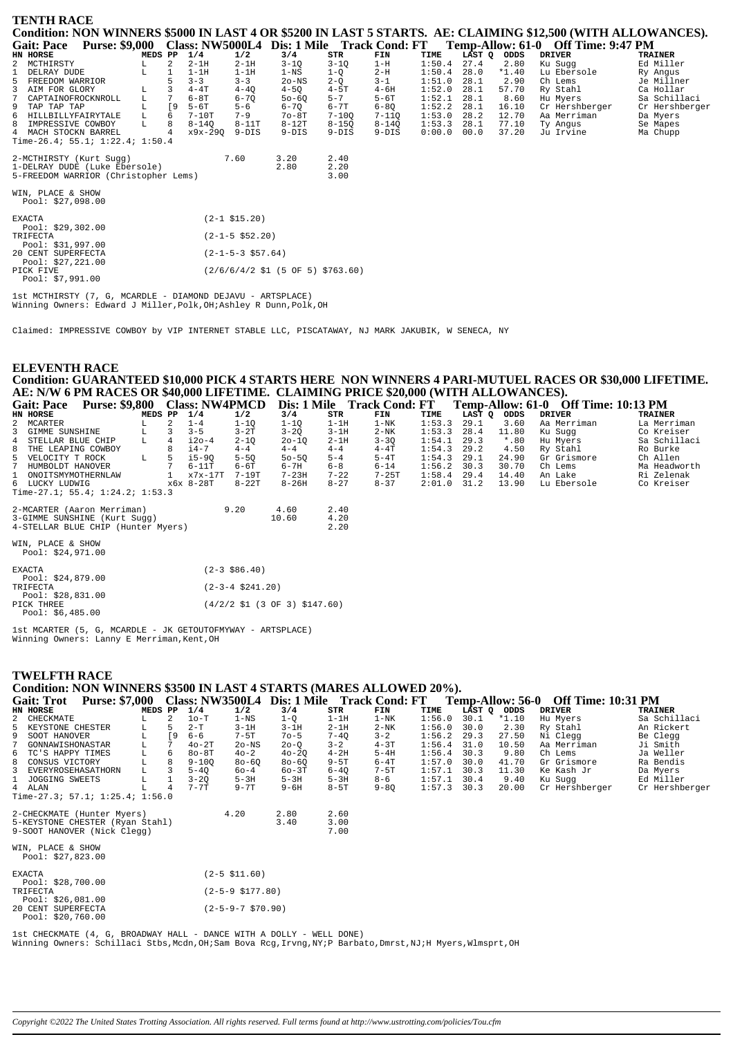| <b>TENTH RACE</b>                                                                                            |                                                                                |           |           |           |        |        |         |                                    |                |
|--------------------------------------------------------------------------------------------------------------|--------------------------------------------------------------------------------|-----------|-----------|-----------|--------|--------|---------|------------------------------------|----------------|
| Condition: NON WINNERS \$5000 IN LAST 4 OR \$5200 IN LAST 5 STARTS. AE: CLAIMING \$12,500 (WITH ALLOWANCES). |                                                                                |           |           |           |        |        |         |                                    |                |
| Purse: \$9,000 Class: NW5000L4 Dis: 1 Mile Track Cond: FT<br><b>Gait: Pace</b>                               |                                                                                |           |           |           |        |        |         | Temp-Allow: 61-0 Off Time: 9:47 PM |                |
| HN HORSE<br>MEDS PP                                                                                          | 1/4<br>1/2                                                                     | 3/4       | STR       | FIN       | TIME   | LĀST Q | ODDS    | <b>DRIVER</b>                      | <b>TRAINER</b> |
| 2 MCTHIRSTY<br>2<br>L                                                                                        | $2 - 1H$<br>$2-1H$                                                             | $3 - 1Q$  | $3 - 1Q$  | $1-H$     | 1:50.4 | 27.4   | 2.80    | Ku Sugg                            | Ed Miller      |
| DELRAY DUDE<br>г                                                                                             | $1-1H$<br>$1-1H$                                                               | $1-NS$    | $1-Q$     | $2-H$     | 1:50.4 | 28.0   | $*1.40$ | Lu Ebersole                        | Ry Angus       |
| 5<br>FREEDOM WARRIOR                                                                                         | $3 - 3$<br>$3 - 3$                                                             | $2o$ -NS  | $2 - 0$   | $3 - 1$   | 1:51.0 | 28.1   | 2.90    | Ch Lems                            | Je Millner     |
| 3 AIM FOR GLORY<br>L                                                                                         | $4-4T$<br>$4 - 40$                                                             | $4-5Q$    | $4-5T$    | $4-6H$    | 1:52.0 | 28.1   | 57.70   | Ry Stahl                           | Ca Hollar      |
| L<br>$7^{\circ}$<br>CAPTAINOFROCKNROLL                                                                       | 7<br>$6-8T$<br>$6 - 70$                                                        | $50 - 60$ | $5 - 7$   | $5-6T$    | 1:52.1 | 28.1   | 8.60    | Hu Myers                           | Sa Schillaci   |
| L<br>9 TAP TAP TAP                                                                                           | [9<br>$5-6T$<br>$5 - 6$                                                        | $6 - 7Q$  | $6 - 7T$  | $6 - 8Q$  | 1:52.2 | 28.1   | 16.10   | Cr Hershberger                     | Cr Hershberger |
| 6<br>HILLBILLYFAIRYTALE<br>L<br>6                                                                            | $7-10T$<br>$7 - 9$                                                             | $70-8T$   | $7 - 100$ | $7 - 11Q$ | 1:53.0 | 28.2   | 12.70   | Aa Merriman                        | Da Myers       |
| IMPRESSIVE COWBOY<br>L<br>8                                                                                  | $8 - 140$<br>$8-11T$                                                           | $8-12T$   | $8 - 150$ | $8 - 14Q$ | 1:53.3 | 28.1   | 77.10   | Ty Angus                           | Se Mapes       |
| 4 MACH STOCKN BARREL                                                                                         | x9x-290<br>9-DIS                                                               | $9-DIS$   | $9-DIS$   | $9-DIS$   | 0:00.0 | 00.0   | 37.20   | Ju Irvine                          | Ma Chupp       |
| Time-26.4; 55.1; $1:22.4$ ; $1:50.4$                                                                         |                                                                                |           |           |           |        |        |         |                                    |                |
| 2-MCTHIRSTY (Kurt Sugg)                                                                                      | 7.60                                                                           | 3.20      | 2.40      |           |        |        |         |                                    |                |
| 1-DELRAY DUDE (Luke Ebersole)                                                                                |                                                                                | 2.80      | 2.20      |           |        |        |         |                                    |                |
| 5-FREEDOM WARRIOR (Christopher Lems)                                                                         |                                                                                |           | 3.00      |           |        |        |         |                                    |                |
| WIN, PLACE & SHOW<br>Pool: \$27,098.00                                                                       |                                                                                |           |           |           |        |        |         |                                    |                |
| <b>EXACTA</b>                                                                                                | $(2-1$ \$15.20)                                                                |           |           |           |        |        |         |                                    |                |
| Pool: $$29,302.00$                                                                                           |                                                                                |           |           |           |        |        |         |                                    |                |
| TRIFECTA                                                                                                     | $(2-1-5 \; $52.20)$                                                            |           |           |           |        |        |         |                                    |                |
| Pool: \$31,997.00                                                                                            |                                                                                |           |           |           |        |        |         |                                    |                |
| 20 CENT SUPERFECTA                                                                                           | $(2-1-5-3$ \$57.64)                                                            |           |           |           |        |        |         |                                    |                |
| Pool: \$27,221.00                                                                                            |                                                                                |           |           |           |        |        |         |                                    |                |
| PICK FIVE                                                                                                    | $(2/6/6/4/2 \text{ } $1 \text{ } (5 \text{ } 0F \text{ } 5) \text{ } $763.60)$ |           |           |           |        |        |         |                                    |                |
| Pool: \$7.991.00                                                                                             |                                                                                |           |           |           |        |        |         |                                    |                |

1st MCTHIRSTY (7, G, MCARDLE - DIAMOND DEJAVU - ARTSPLACE)<br>Winning Owners: Edward J Miller, Polk, OH; Ashley R Dunn, Polk, OH

Claimed: IMPRESSIVE COWBOY by VIP INTERNET STABLE LLC, PISCATAWAY, NJ MARK JAKUBIK, W SENECA, NY

#### **ELEVENTH RACE** Condition: GUARANTEED \$10,000 PICK 4 STARTS HERE NON WINNERS 4 PARI-MUTUEL RACES OR \$30,000 LIFETIME. AE: N/W 6 PM RACES OR \$40,000 LIFETIME. CLAIMING PRICE \$20,000 (WITH ALLOWANCES). /\*<br>∩ ee π\*  $10.12 \text{ m}$  $C<sub>0</sub>$ :  $D<sub>0.00</sub>$  $\mathbf{r}$  $\mathbf{H}$   $\mathbf{H}$   $\mathbf{H}$

|                                        |                                     |         |               |           |                     |                                                                            |          |           |        |        |         | Gait: Pace Purse: \$9,800 Class: NW4PMCD Dis: 1 Mile Track Cond: FT Temp-Allow: 61-0 Off Time: 10:13 PM |                |
|----------------------------------------|-------------------------------------|---------|---------------|-----------|---------------------|----------------------------------------------------------------------------|----------|-----------|--------|--------|---------|---------------------------------------------------------------------------------------------------------|----------------|
| HN HORSE                               |                                     | MEDS PP |               | 1/4       | 1/2                 | 3/4                                                                        | STR      | FIN       | TIME   | LAST Q | ODDS    | <b>DRIVER</b>                                                                                           | <b>TRAINER</b> |
| 2 MCARTER                              |                                     | L.      | $\mathcal{L}$ | $1 - 4$   | $1 - 1Q$            | $1-1Q$                                                                     | $1-1H$   | $1-NK$    | 1:53.3 | 29.1   | 3.60    | Aa Merriman                                                                                             | La Merriman    |
| 3 GIMME SUNSHINE                       |                                     | L       |               | $3 - 5$   | $3 - 2T$            | $3 - 2Q$                                                                   | $3-1H$   | $2-NK$    | 1:53.3 | 28.4   | 11.80   | Ku Sugg                                                                                                 | Co Kreiser     |
| 4 STELLAR BLUE CHIP                    |                                     | L       |               | $i20-4$   | $2 - 10$            | $20 - 10$                                                                  | $2-1H$   | $3 - 3Q$  | 1:54.1 | 29.3   | $*$ .80 | Hu Myers                                                                                                | Sa Schillaci   |
| 8 THE LEAPING COWBOY                   |                                     |         |               | i4-7      | $4 - 4$             | $4 - 4$                                                                    | $4 - 4$  | $4-4T$    | 1:54.3 | 29.2   | 4.50    | Ry Stahl                                                                                                | Ro Burke       |
| 5 VELOCITY T ROCK                      |                                     | L       |               | i5-90     | $5 - 50$            | $50 - 50$                                                                  | $5 - 4$  | $5-4T$    | 1:54.3 | 29.1   | 24.90   | Gr Grismore                                                                                             | Ch Allen       |
| 7 HUMBOLDT HANOVER                     |                                     |         |               | 6-11T     | 6-6T                | 6-7H                                                                       | $6 - 8$  | $6 - 14$  | 1:56.2 | 30.3   | 30.70   | Ch Lems                                                                                                 | Ma Headworth   |
| 1 ONOITSMYMOTHERNLAW                   |                                     |         |               | $x7x-17T$ | 7-19T               | $7-23H$                                                                    | $7 - 22$ | $7 - 25T$ | 1:58.4 | 29.4   | 14.40   | An Lake                                                                                                 | Ri Zelenak     |
| 6 LUCKY LUDWIG                         |                                     |         |               | x6x 8-28T | $8-22T$             | $8 - 26H$                                                                  | $8 - 27$ | $8 - 37$  | 2:01.0 | 31.2   | 13.90   | Lu Ebersole                                                                                             | Co Kreiser     |
|                                        | Time-27.1; 55.4; $1:24.2;$ $1:53.3$ |         |               |           |                     |                                                                            |          |           |        |        |         |                                                                                                         |                |
|                                        |                                     |         |               |           |                     |                                                                            |          |           |        |        |         |                                                                                                         |                |
|                                        | 2-MCARTER (Aaron Merriman)          |         |               |           | 9.20                | 4.60                                                                       | 2.40     |           |        |        |         |                                                                                                         |                |
|                                        | 3-GIMME SUNSHINE (Kurt Sugg)        |         |               |           |                     | 10.60                                                                      | 4.20     |           |        |        |         |                                                                                                         |                |
|                                        | 4-STELLAR BLUE CHIP (Hunter Myers)  |         |               |           |                     |                                                                            | 2.20     |           |        |        |         |                                                                                                         |                |
| WIN, PLACE & SHOW<br>Pool: \$24,971.00 |                                     |         |               |           |                     |                                                                            |          |           |        |        |         |                                                                                                         |                |
| <b>EXACTA</b><br>Pool: \$24,879.00     |                                     |         |               |           | $(2-3$ \$86.40)     |                                                                            |          |           |        |        |         |                                                                                                         |                |
| TRIFECTA<br>Pool: \$28,831.00          |                                     |         |               |           | $(2-3-4 \ $241.20)$ |                                                                            |          |           |        |        |         |                                                                                                         |                |
| PICK THREE<br>Pool: $$6,485.00$        |                                     |         |               |           |                     | $(4/2/2 \text{ } 51 \text{ } (3 \text{ } 0F \text{ } 3) \text{ } $147.60)$ |          |           |        |        |         |                                                                                                         |                |

 $\begin{tabular}{lllllll} 1st MCARTER & (5, G, MCARDLE - JK GETOUTOFMYWAY - ARTSPLACE) & \textit{Winning Owners: Lanny E Merriman,Kent,OH \\ \end{tabular}$ 

## **TWELFTH RACE**

## Condition: NON WINNERS \$3500 IN LAST 4 STARTS (MARES ALLOWED 20%).

Gait: Trot Purse: \$7,000 Class: NW3500L4 Dis: 1 Mile Track Cond: FT Temp-Allow: 56-0 Off Time: 10:31 PM

|   | HN HORSE                        | MEDS PP |    | 1/4       | 1/2                        | 3/4       | <b>STR</b> | FIN      | TIME   | LAST O | ODDS    | <b>DRIVER</b>  | <b>TRAINER</b> |
|---|---------------------------------|---------|----|-----------|----------------------------|-----------|------------|----------|--------|--------|---------|----------------|----------------|
|   | CHECKMATE                       | T.      | 2  | $10-T$    | $1 - NS$                   | 1-0       | $1-1H$     | $1-NK$   | 1:56.0 | 30.1   | $*1.10$ | Hu Myers       | Sa Schillaci   |
| 5 | KEYSTONE CHESTER                | L.      | 5  | $2-T$     | $3-1H$                     | $3 - 1H$  | $2-1H$     | $2-NK$   | 1:56.0 | 30.0   | 2.30    | Ry Stahl       | An Rickert     |
| 9 | SOOT HANOVER                    | L       | ſ9 | $6 - 6$   | $7-5T$                     | $70 - 5$  | $7 - 40$   | $3 - 2$  | 1:56.2 | 29.3   | 27.50   | Ni Clegg       | Be Clegg       |
|   | GONNAWISHONASTAR                | L       |    | $40-2T$   | $2o$ -NS                   | $20 - 0$  | $3 - 2$    | $4 - 3T$ | 1:56.4 | 31.0   | 10.50   | Aa Merriman    | Ji Smith       |
| 6 | TC'S HAPPY TIMES                | L       | 6  | $80 - 8T$ | $40 - 2$                   | $40 - 20$ | $4-2H$     | $5-4H$   | 1:56.4 | 30.3   | 9.80    | Ch Lems        | Ja Weller      |
| 8 | CONSUS VICTORY                  |         | 8  | $9 - 100$ | $80 - 60$                  | 80-60     | $9-5T$     | $6 - 4T$ | 1:57.0 | 30.0   | 41.70   | Gr Grismore    | Ra Bendis      |
| 3 | EVERYROSEHASATHORN              | L       | 3  | $5 - 40$  | 60-4                       | $60 - 3T$ | 6-40       | $7-5T$   | 1:57.1 | 30.3   | 11.30   | Ke Kash Jr     | Da Myers       |
|   | 1 JOGGING SWEETS                | L       |    | $3 - 20$  | $5-3H$                     | $5-3H$    | $5-3H$     | $8 - 6$  | 1:57.1 | 30.4   | 9.40    | Ku Suqq        | Ed Miller      |
|   | 4 ALAN                          |         | 4  | $7 - 7T$  | $9 - 7T$                   | $9 - 6H$  | $8-5T$     | $9 - 80$ | 1:57.3 | 30.3   | 20.00   | Cr Hershberger | Cr Hershberger |
|   | Time-27.3; 57.1; 1:25.4; 1:56.0 |         |    |           |                            |           |            |          |        |        |         |                |                |
|   | 2-CHECKMATE (Hunter Myers)      |         |    |           | 4.20                       | 2.80      | 2.60       |          |        |        |         |                |                |
|   | 5-KEYSTONE CHESTER (Ryan Stahl) |         |    |           |                            | 3.40      | 3.00       |          |        |        |         |                |                |
|   | 9-SOOT HANOVER (Nick Clegg)     |         |    |           |                            |           | 7.00       |          |        |        |         |                |                |
|   | WIN, PLACE & SHOW               |         |    |           |                            |           |            |          |        |        |         |                |                |
|   | Pool: \$27,823.00               |         |    |           |                            |           |            |          |        |        |         |                |                |
|   | <b>EXACTA</b>                   |         |    |           | $(2 - 5 \, \text{$}11.60)$ |           |            |          |        |        |         |                |                |
|   | Pool: \$28.700.00               |         |    |           |                            |           |            |          |        |        |         |                |                |

| $1001.$ $700.00$                                                                                |  |                         |
|-------------------------------------------------------------------------------------------------|--|-------------------------|
| TRIFECTA                                                                                        |  | $(2 - 5 - 9 \ $177.80)$ |
| $D_{0}$ $D_{1}$ $D_{2}$ $D_{3}$ $D_{4}$ $D_{5}$ $D_{6}$ $D_{7}$ $D_{8}$ $D_{9}$ $D_{1}$ $D_{1}$ |  |                         |

Pool: \$26,081.00<br>20 CENT SUPERFECTA<br>Pool: \$20,760.00  $(2-5-9-7$ \$70.90)

lst CHECKMATE (4, G, BROADWAY HALL - DANCE WITH A DOLLY - WELL DONE)<br>Winning Owners: Schillaci Stbs,Mcdn,OH;Sam Bova Rcg,Irvng,NY;P Barbato,Dmrst,NJ;H Myers,Wlmsprt,OH